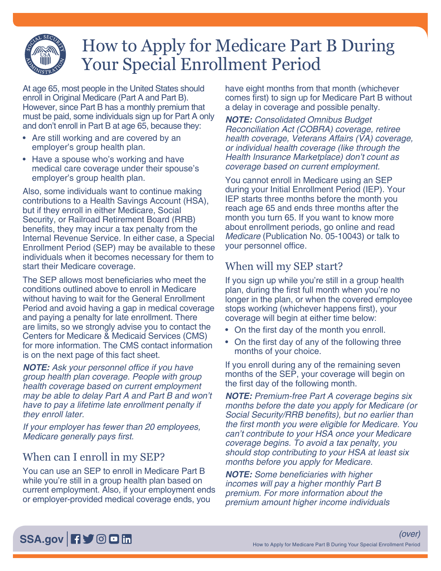

# How to Apply for Medicare Part B During Your Special Enrollment Period

At age 65, most people in the United States should enroll in Original Medicare (Part A and Part B). However, since Part B has a monthly premium that must be paid, some individuals sign up for Part A only and don't enroll in Part B at age 65, because they:

- Are still working and are covered by an employer's group health plan.
- Have a spouse who's working and have medical care coverage under their spouse's employer's group health plan.

Also, some individuals want to continue making contributions to a Health Savings Account (HSA), but if they enroll in either Medicare, Social Security, or Railroad Retirement Board (RRB) benefits, they may incur a tax penalty from the Internal Revenue Service. In either case, a Special Enrollment Period (SEP) may be available to these individuals when it becomes necessary for them to start their Medicare coverage.

The SEP allows most beneficiaries who meet the conditions outlined above to enroll in Medicare without having to wait for the General Enrollment Period and avoid having a gap in medical coverage and paying a penalty for late enrollment. There are limits, so we strongly advise you to contact the Centers for Medicare & Medicaid Services (CMS) for more information. The CMS contact information is on the next page of this fact sheet.

*NOTE:* Ask your personnel office if you have group health plan coverage. People with group health coverage based on current employment may be able to delay Part A and Part B and won't have to pay a lifetime late enrollment penalty if they enroll later.

If your employer has fewer than 20 employees, Medicare generally pays first.

### When can I enroll in my SEP?

You can use an SEP to enroll in Medicare Part B while you're still in a group health plan based on current employment. Also, if your employment ends or employer-provided medical coverage ends, you

have eight months from that month (whichever comes first) to sign up for Medicare Part B without a delay in coverage and possible penalty.

*NOTE:* Consolidated Omnibus Budget Reconciliation Act (COBRA) coverage, retiree health coverage, Veterans Affairs (VA) coverage, or individual health coverage (like through the Health Insurance Marketplace) don't count as coverage based on current employment.

You cannot enroll in Medicare using an SEP during your Initial Enrollment Period (IEP). Your IEP starts three months before the month you reach age 65 and ends three months after the month you turn 65. If you want to know more about enrollment periods, go online and read Medicare [\(Publication No. 05-10043\)](https://www.ssa.gov/pubs/EN-05-10043.pdf) or talk to your personnel office.

## When will my SEP start?

If you sign up while you're still in a group health plan, during the first full month when you're no longer in the plan, or when the covered employee stops working (whichever happens first), your coverage will begin at either time below:

- On the first day of the month you enroll.
- On the first day of any of the following three months of your choice.

If you enroll during any of the remaining seven months of the SEP, your coverage will begin on the first day of the following month.

*NOTE:* Premium-free Part A coverage begins six months before the date you apply for Medicare (or Social Security/RRB benefits), but no earlier than the first month you were eligible for Medicare. You can't contribute to your HSA once your Medicare coverage begins. To avoid a tax penalty, you should stop contributing to your HSA at least six months before you apply for Medicare.

*NOTE:* Some beneficiaries with higher incomes will pay a higher monthly Part B premium. For more information about the premium amount higher income individuals